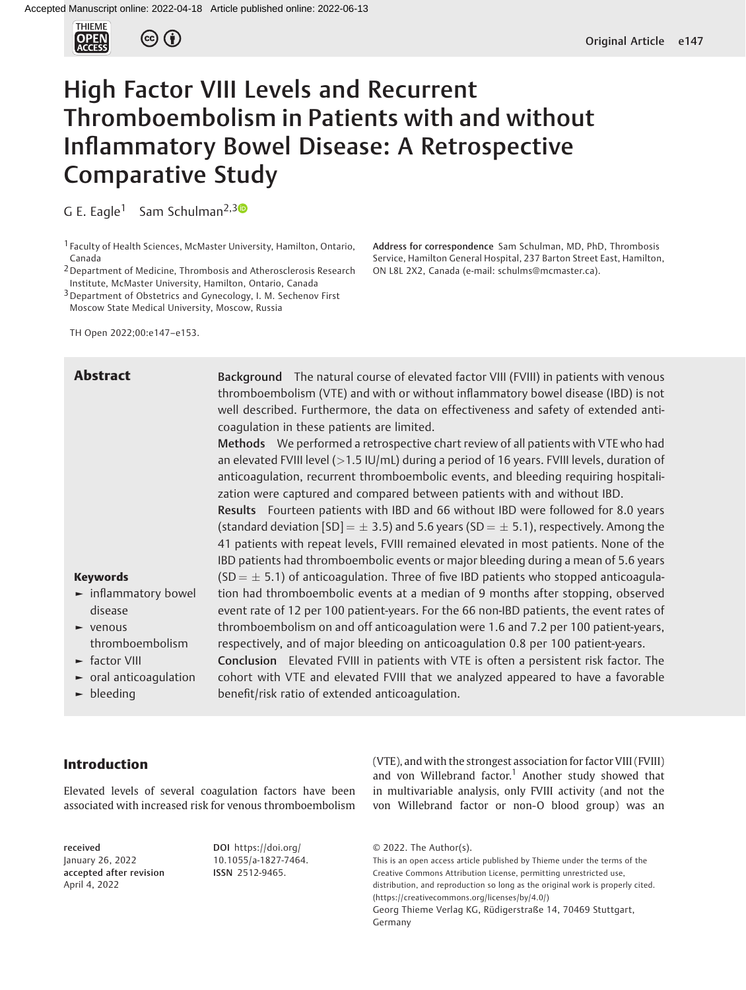

# High Factor VIII Levels and Recurrent Thromboembolism in Patients with and without Inflammatory Bowel Disease: A Retrospective Comparative Study

G E. Eagle<sup>1</sup> Sam Schulman<sup>2,[3](https://orcid.org/0000-0002-8512-9043)0</sup>

1 Faculty of Health Sciences, McMaster University, Hamilton, Ontario, Canada

<sup>2</sup> Department of Medicine, Thrombosis and Atherosclerosis Research Institute, McMaster University, Hamilton, Ontario, Canada

<sup>3</sup> Department of Obstetrics and Gynecology, I. M. Sechenov First Moscow State Medical University, Moscow, Russia

TH Open 2022;00:e147–e153.

Address for correspondence Sam Schulman, MD, PhD, Thrombosis Service, Hamilton General Hospital, 237 Barton Street East, Hamilton, ON L8L 2X2, Canada (e-mail: [schulms@mcmaster.ca](mailto:schulms@mcmaster.ca)).

| <b>Abstract</b>                            | Background The natural course of elevated factor VIII (FVIII) in patients with venous<br>thromboembolism (VTE) and with or without inflammatory bowel disease (IBD) is not<br>well described. Furthermore, the data on effectiveness and safety of extended anti-<br>coaqulation in these patients are limited.<br>Methods We performed a retrospective chart review of all patients with VTE who had<br>an elevated FVIII level ( $>1.5$ IU/mL) during a period of 16 years. FVIII levels, duration of<br>anticoagulation, recurrent thromboembolic events, and bleeding requiring hospitali-<br>zation were captured and compared between patients with and without IBD.<br>Results Fourteen patients with IBD and 66 without IBD were followed for 8.0 years<br>(standard deviation $[SD] = \pm 3.5$ ) and 5.6 years (SD = $\pm 5.1$ ), respectively. Among the<br>41 patients with repeat levels, FVIII remained elevated in most patients. None of the<br>IBD patients had thromboembolic events or major bleeding during a mean of 5.6 years |
|--------------------------------------------|----------------------------------------------------------------------------------------------------------------------------------------------------------------------------------------------------------------------------------------------------------------------------------------------------------------------------------------------------------------------------------------------------------------------------------------------------------------------------------------------------------------------------------------------------------------------------------------------------------------------------------------------------------------------------------------------------------------------------------------------------------------------------------------------------------------------------------------------------------------------------------------------------------------------------------------------------------------------------------------------------------------------------------------------------|
| <b>Keywords</b>                            | $(SD = \pm 5.1)$ of anticoagulation. Three of five IBD patients who stopped anticoagula-                                                                                                                                                                                                                                                                                                                                                                                                                                                                                                                                                                                                                                                                                                                                                                                                                                                                                                                                                           |
| $\blacktriangleright$ inflammatory bowel   | tion had thromboembolic events at a median of 9 months after stopping, observed                                                                                                                                                                                                                                                                                                                                                                                                                                                                                                                                                                                                                                                                                                                                                                                                                                                                                                                                                                    |
| disease                                    | event rate of 12 per 100 patient-years. For the 66 non-IBD patients, the event rates of                                                                                                                                                                                                                                                                                                                                                                                                                                                                                                                                                                                                                                                                                                                                                                                                                                                                                                                                                            |
| $\blacktriangleright$ venous               | thromboembolism on and off anticoagulation were 1.6 and 7.2 per 100 patient-years,                                                                                                                                                                                                                                                                                                                                                                                                                                                                                                                                                                                                                                                                                                                                                                                                                                                                                                                                                                 |
| thromboembolism                            | respectively, and of major bleeding on anticoagulation 0.8 per 100 patient-years.                                                                                                                                                                                                                                                                                                                                                                                                                                                                                                                                                                                                                                                                                                                                                                                                                                                                                                                                                                  |
| $\blacktriangleright$ factor VIII          | Conclusion Elevated FVIII in patients with VTE is often a persistent risk factor. The                                                                                                                                                                                                                                                                                                                                                                                                                                                                                                                                                                                                                                                                                                                                                                                                                                                                                                                                                              |
| $\blacktriangleright$ oral anticoaqulation | cohort with VTE and elevated FVIII that we analyzed appeared to have a favorable                                                                                                                                                                                                                                                                                                                                                                                                                                                                                                                                                                                                                                                                                                                                                                                                                                                                                                                                                                   |
| $\blacktriangleright$ bleeding             | benefit/risk ratio of extended anticoagulation.                                                                                                                                                                                                                                                                                                                                                                                                                                                                                                                                                                                                                                                                                                                                                                                                                                                                                                                                                                                                    |

# Introduction

Elevated levels of several coagulation factors have been associated with increased risk for venous thromboembolism

received January 26, 2022 accepted after revision April 4, 2022

DOI [https://doi.org/](https://doi.org/10.1055/a-1827-7464) [10.1055/a-1827-7464](https://doi.org/10.1055/a-1827-7464). ISSN 2512-9465.

(VTE), and with the strongest association for factor VIII (FVIII) and von Willebrand factor.<sup>1</sup> Another study showed that in multivariable analysis, only FVIII activity (and not the von Willebrand factor or non-O blood group) was an

© 2022. The Author(s).

This is an open access article published by Thieme under the terms of the Creative Commons Attribution License, permitting unrestricted use, distribution, and reproduction so long as the original work is properly cited. (https://creativecommons.org/licenses/by/4.0/) Georg Thieme Verlag KG, Rüdigerstraße 14, 70469 Stuttgart, Germany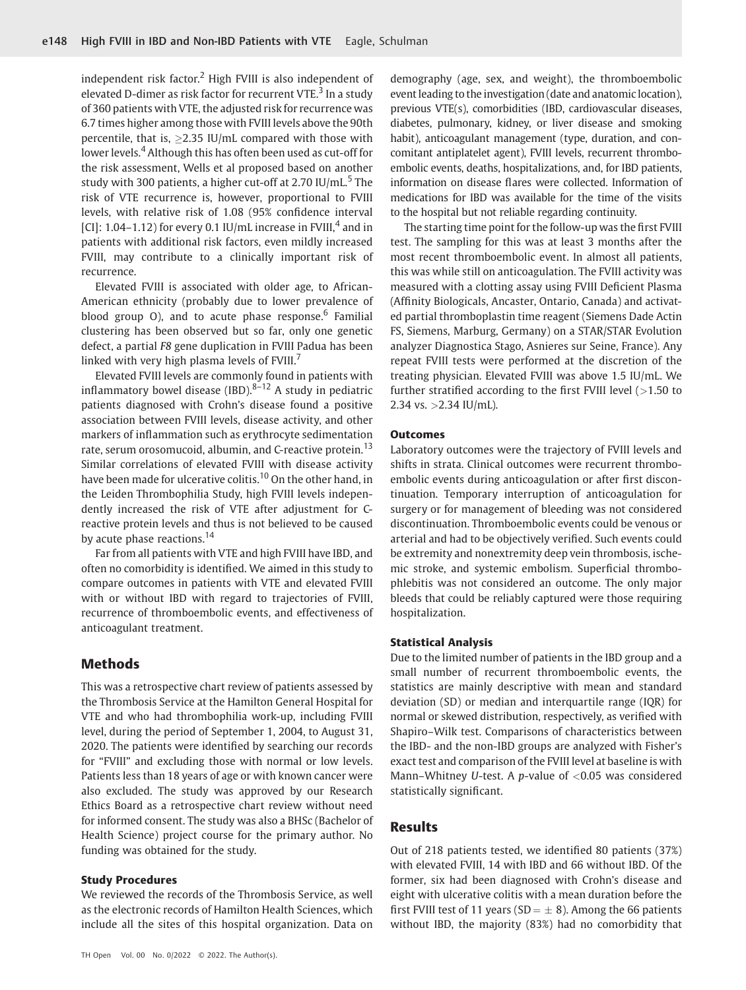independent risk factor.<sup>2</sup> High FVIII is also independent of elevated D-dimer as risk factor for recurrent VTE.<sup>3</sup> In a study of 360 patients with VTE, the adjusted risk for recurrence was 6.7 times higher among those with FVIII levels above the 90th percentile, that is,  $>2.35$  IU/mL compared with those with lower levels.<sup>4</sup> Although this has often been used as cut-off for the risk assessment, Wells et al proposed based on another study with 300 patients, a higher cut-off at 2.70  $IU/mL$ <sup>5</sup> The risk of VTE recurrence is, however, proportional to FVIII levels, with relative risk of 1.08 (95% confidence interval [CI]: 1.04–1.12) for every 0.1 IU/mL increase in FVIII,<sup>4</sup> and in patients with additional risk factors, even mildly increased FVIII, may contribute to a clinically important risk of recurrence.

Elevated FVIII is associated with older age, to African-American ethnicity (probably due to lower prevalence of blood group O), and to acute phase response.<sup>6</sup> Familial clustering has been observed but so far, only one genetic defect, a partial F8 gene duplication in FVIII Padua has been linked with very high plasma levels of FVIII.<sup>7</sup>

Elevated FVIII levels are commonly found in patients with inflammatory bowel disease (IBD). $8-12$  A study in pediatric patients diagnosed with Crohn's disease found a positive association between FVIII levels, disease activity, and other markers of inflammation such as erythrocyte sedimentation rate, serum orosomucoid, albumin, and C-reactive protein.<sup>13</sup> Similar correlations of elevated FVIII with disease activity have been made for ulcerative colitis.<sup>10</sup> On the other hand, in the Leiden Thrombophilia Study, high FVIII levels independently increased the risk of VTE after adjustment for Creactive protein levels and thus is not believed to be caused by acute phase reactions.<sup>14</sup>

Far from all patients with VTE and high FVIII have IBD, and often no comorbidity is identified. We aimed in this study to compare outcomes in patients with VTE and elevated FVIII with or without IBD with regard to trajectories of FVIII, recurrence of thromboembolic events, and effectiveness of anticoagulant treatment.

## Methods

This was a retrospective chart review of patients assessed by the Thrombosis Service at the Hamilton General Hospital for VTE and who had thrombophilia work-up, including FVIII level, during the period of September 1, 2004, to August 31, 2020. The patients were identified by searching our records for "FVIII" and excluding those with normal or low levels. Patients less than 18 years of age or with known cancer were also excluded. The study was approved by our Research Ethics Board as a retrospective chart review without need for informed consent. The study was also a BHSc (Bachelor of Health Science) project course for the primary author. No funding was obtained for the study.

### Study Procedures

We reviewed the records of the Thrombosis Service, as well as the electronic records of Hamilton Health Sciences, which include all the sites of this hospital organization. Data on

TH Open Vol. 00 No. 0/2022 © 2022. The Author(s).

demography (age, sex, and weight), the thromboembolic event leading to the investigation (date and anatomic location), previous VTE(s), comorbidities (IBD, cardiovascular diseases, diabetes, pulmonary, kidney, or liver disease and smoking habit), anticoagulant management (type, duration, and concomitant antiplatelet agent), FVIII levels, recurrent thromboembolic events, deaths, hospitalizations, and, for IBD patients, information on disease flares were collected. Information of medications for IBD was available for the time of the visits to the hospital but not reliable regarding continuity.

The starting time point for the follow-up was the first FVIII test. The sampling for this was at least 3 months after the most recent thromboembolic event. In almost all patients, this was while still on anticoagulation. The FVIII activity was measured with a clotting assay using FVIII Deficient Plasma (Affinity Biologicals, Ancaster, Ontario, Canada) and activated partial thromboplastin time reagent (Siemens Dade Actin FS, Siemens, Marburg, Germany) on a STAR/STAR Evolution analyzer Diagnostica Stago, Asnieres sur Seine, France). Any repeat FVIII tests were performed at the discretion of the treating physician. Elevated FVIII was above 1.5 IU/mL. We further stratified according to the first FVIII level  $(>1.50$  to 2.34 vs. >2.34 IU/mL).

#### **Outcomes**

Laboratory outcomes were the trajectory of FVIII levels and shifts in strata. Clinical outcomes were recurrent thromboembolic events during anticoagulation or after first discontinuation. Temporary interruption of anticoagulation for surgery or for management of bleeding was not considered discontinuation. Thromboembolic events could be venous or arterial and had to be objectively verified. Such events could be extremity and nonextremity deep vein thrombosis, ischemic stroke, and systemic embolism. Superficial thrombophlebitis was not considered an outcome. The only major bleeds that could be reliably captured were those requiring hospitalization.

## Statistical Analysis

Due to the limited number of patients in the IBD group and a small number of recurrent thromboembolic events, the statistics are mainly descriptive with mean and standard deviation (SD) or median and interquartile range (IQR) for normal or skewed distribution, respectively, as verified with Shapiro–Wilk test. Comparisons of characteristics between the IBD- and the non-IBD groups are analyzed with Fisher's exact test and comparison of the FVIII level at baseline is with Mann–Whitney U-test. A p-value of  $<$  0.05 was considered statistically significant.

## Results

Out of 218 patients tested, we identified 80 patients (37%) with elevated FVIII, 14 with IBD and 66 without IBD. Of the former, six had been diagnosed with Crohn's disease and eight with ulcerative colitis with a mean duration before the first FVIII test of 11 years (SD  $=\pm$  8). Among the 66 patients without IBD, the majority (83%) had no comorbidity that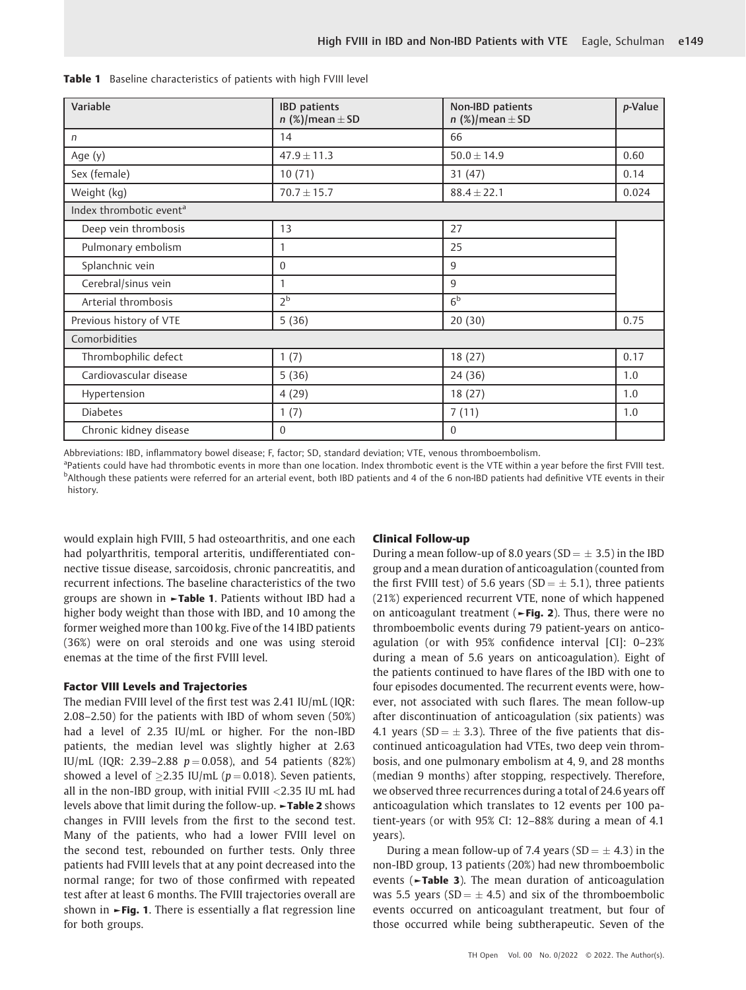| Variable                            | <b>IBD</b> patients<br>n $(\%)$ /mean $\pm$ SD | Non-IBD patients<br>$n$ (%)/mean $\pm$ SD | p-Value |  |  |
|-------------------------------------|------------------------------------------------|-------------------------------------------|---------|--|--|
| $\sqrt{n}$                          | 14                                             | 66                                        |         |  |  |
| Age (y)                             | $47.9 \pm 11.3$                                | $50.0 \pm 14.9$                           | 0.60    |  |  |
| Sex (female)                        | 10(71)                                         | 31(47)                                    | 0.14    |  |  |
| Weight (kg)                         | $70.7 \pm 15.7$                                | $88.4 \pm 22.1$                           | 0.024   |  |  |
| Index thrombotic event <sup>a</sup> |                                                |                                           |         |  |  |
| Deep vein thrombosis                | 13                                             | 27                                        |         |  |  |
| Pulmonary embolism                  | 1                                              | 25                                        |         |  |  |
| Splanchnic vein                     | $\Omega$                                       | 9                                         |         |  |  |
| Cerebral/sinus vein                 | 1                                              | 9                                         |         |  |  |
| Arterial thrombosis                 | 2 <sup>b</sup>                                 | 6 <sup>b</sup>                            |         |  |  |
| Previous history of VTE             | 5(36)                                          | 20(30)                                    | 0.75    |  |  |
| Comorbidities                       |                                                |                                           |         |  |  |
| Thrombophilic defect                | 1(7)                                           | 18(27)                                    | 0.17    |  |  |
| Cardiovascular disease              | 5(36)                                          | 24(36)                                    | 1.0     |  |  |
| Hypertension                        | 4(29)                                          | 18(27)                                    | 1.0     |  |  |
| <b>Diabetes</b>                     | 1(7)                                           | 7(11)                                     | 1.0     |  |  |
| Chronic kidney disease              | $\Omega$                                       | $\mathbf{0}$                              |         |  |  |

Table 1 Baseline characteristics of patients with high FVIII level

Abbreviations: IBD, inflammatory bowel disease; F, factor; SD, standard deviation; VTE, venous thromboembolism.

<sup>a</sup>Patients could have had thrombotic events in more than one location. Index thrombotic event is the VTE within a year before the first FVIII test. b Although these patients were referred for an arterial event, both IBD patients and 4 of the 6 non-IBD patients had definitive VTE events in their history.

would explain high FVIII, 5 had osteoarthritis, and one each had polyarthritis, temporal arteritis, undifferentiated connective tissue disease, sarcoidosis, chronic pancreatitis, and recurrent infections. The baseline characteristics of the two groups are shown in ►Table 1. Patients without IBD had a higher body weight than those with IBD, and 10 among the former weighed more than 100 kg. Five of the 14 IBD patients (36%) were on oral steroids and one was using steroid enemas at the time of the first FVIII level.

## Factor VIII Levels and Trajectories

The median FVIII level of the first test was 2.41 IU/mL (IQR: 2.08–2.50) for the patients with IBD of whom seven (50%) had a level of 2.35 IU/mL or higher. For the non-IBD patients, the median level was slightly higher at 2.63 IU/mL (IQR: 2.39–2.88  $p = 0.058$ ), and 54 patients (82%) showed a level of  $\geq$ 2.35 IU/mL (p = 0.018). Seven patients, all in the non-IBD group, with initial FVIII <2.35 IU mL had levels above that limit during the follow-up. ►Table 2 shows changes in FVIII levels from the first to the second test. Many of the patients, who had a lower FVIII level on the second test, rebounded on further tests. Only three patients had FVIII levels that at any point decreased into the normal range; for two of those confirmed with repeated test after at least 6 months. The FVIII trajectories overall are shown in  $\blacktriangleright$  Fig. 1. There is essentially a flat regression line for both groups.

## Clinical Follow-up

During a mean follow-up of 8.0 years (SD  $=\pm$  3.5) in the IBD group and a mean duration of anticoagulation (counted from the first FVIII test) of 5.6 years (SD  $=$   $\pm$  5.1), three patients (21%) experienced recurrent VTE, none of which happened on anticoagulant treatment (►Fig. 2). Thus, there were no thromboembolic events during 79 patient-years on anticoagulation (or with 95% confidence interval [CI]: 0–23% during a mean of 5.6 years on anticoagulation). Eight of the patients continued to have flares of the IBD with one to four episodes documented. The recurrent events were, however, not associated with such flares. The mean follow-up after discontinuation of anticoagulation (six patients) was 4.1 years (SD  $=$   $\pm$  3.3). Three of the five patients that discontinued anticoagulation had VTEs, two deep vein thrombosis, and one pulmonary embolism at 4, 9, and 28 months (median 9 months) after stopping, respectively. Therefore, we observed three recurrences during a total of 24.6 years off anticoagulation which translates to 12 events per 100 patient-years (or with 95% CI: 12–88% during a mean of 4.1 years).

During a mean follow-up of 7.4 years (SD  $= \pm 4.3$ ) in the non-IBD group, 13 patients (20%) had new thromboembolic events (►Table 3). The mean duration of anticoagulation was 5.5 years (SD  $= \pm 4.5$ ) and six of the thromboembolic events occurred on anticoagulant treatment, but four of those occurred while being subtherapeutic. Seven of the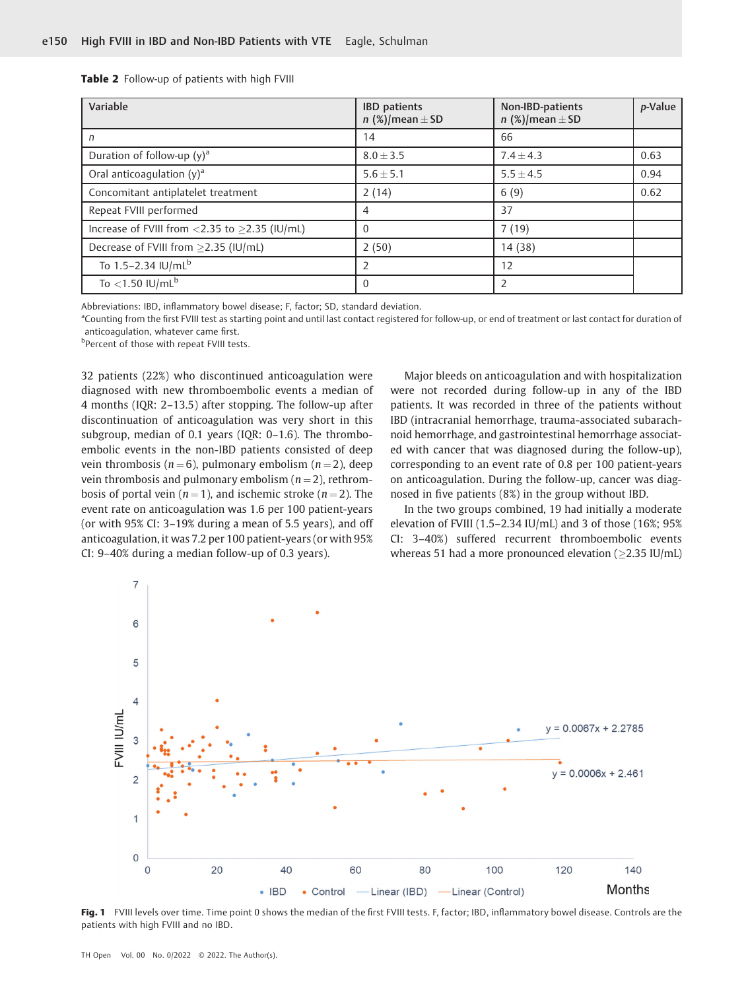Table 2 Follow-up of patients with high FVIII

| Variable                                            | <b>IBD</b> patients<br>$n$ (%)/mean $\pm$ SD | Non-IBD-patients<br>$n$ (%)/mean $\pm$ SD | p-Value |
|-----------------------------------------------------|----------------------------------------------|-------------------------------------------|---------|
| n                                                   | 14                                           | 66                                        |         |
| Duration of follow-up $(y)^a$                       | $8.0 \pm 3.5$                                | $7.4 \pm 4.3$                             | 0.63    |
| Oral anticoagulation $(y)^a$                        | $5.6 \pm 5.1$                                | $5.5 \pm 4.5$                             | 0.94    |
| Concomitant antiplatelet treatment                  | 2(14)                                        | 6(9)                                      | 0.62    |
| Repeat FVIII performed                              | 4                                            | 37                                        |         |
| Increase of FVIII from <2.35 to $\geq$ 2.35 (IU/mL) | $\Omega$                                     | 7(19)                                     |         |
| Decrease of FVIII from ≥2.35 (IU/mL)                | 2(50)                                        | 14 (38)                                   |         |
| To $1.5 - 2.34$ IU/mL <sup>b</sup>                  |                                              | 12                                        |         |
| To $<$ 1.50 IU/mL <sup>b</sup>                      | $\Omega$                                     | $\overline{2}$                            |         |

Abbreviations: IBD, inflammatory bowel disease; F, factor; SD, standard deviation.

<sup>a</sup>Counting from the first FVIII test as starting point and until last contact registered for follow-up, or end of treatment or last contact for duration of anticoagulation, whatever came first.

**bPercent of those with repeat FVIII tests.** 

32 patients (22%) who discontinued anticoagulation were diagnosed with new thromboembolic events a median of 4 months (IQR: 2–13.5) after stopping. The follow-up after discontinuation of anticoagulation was very short in this subgroup, median of 0.1 years (IQR: 0–1.6). The thromboembolic events in the non-IBD patients consisted of deep vein thrombosis ( $n = 6$ ), pulmonary embolism ( $n = 2$ ), deep vein thrombosis and pulmonary embolism ( $n = 2$ ), rethrombosis of portal vein ( $n = 1$ ), and ischemic stroke ( $n = 2$ ). The event rate on anticoagulation was 1.6 per 100 patient-years (or with 95% CI: 3–19% during a mean of 5.5 years), and off anticoagulation, it was 7.2 per 100 patient-years (or with 95% CI: 9–40% during a median follow-up of 0.3 years).

Major bleeds on anticoagulation and with hospitalization were not recorded during follow-up in any of the IBD patients. It was recorded in three of the patients without IBD (intracranial hemorrhage, trauma-associated subarachnoid hemorrhage, and gastrointestinal hemorrhage associated with cancer that was diagnosed during the follow-up), corresponding to an event rate of 0.8 per 100 patient-years on anticoagulation. During the follow-up, cancer was diagnosed in five patients (8%) in the group without IBD.

In the two groups combined, 19 had initially a moderate elevation of FVIII (1.5–2.34 IU/mL) and 3 of those (16%; 95% CI: 3–40%) suffered recurrent thromboembolic events whereas 51 had a more pronounced elevation ( $\geq$ 2.35 IU/mL)



Fig. 1 FVIII levels over time. Time point 0 shows the median of the first FVIII tests. F, factor; IBD, inflammatory bowel disease. Controls are the patients with high FVIII and no IBD.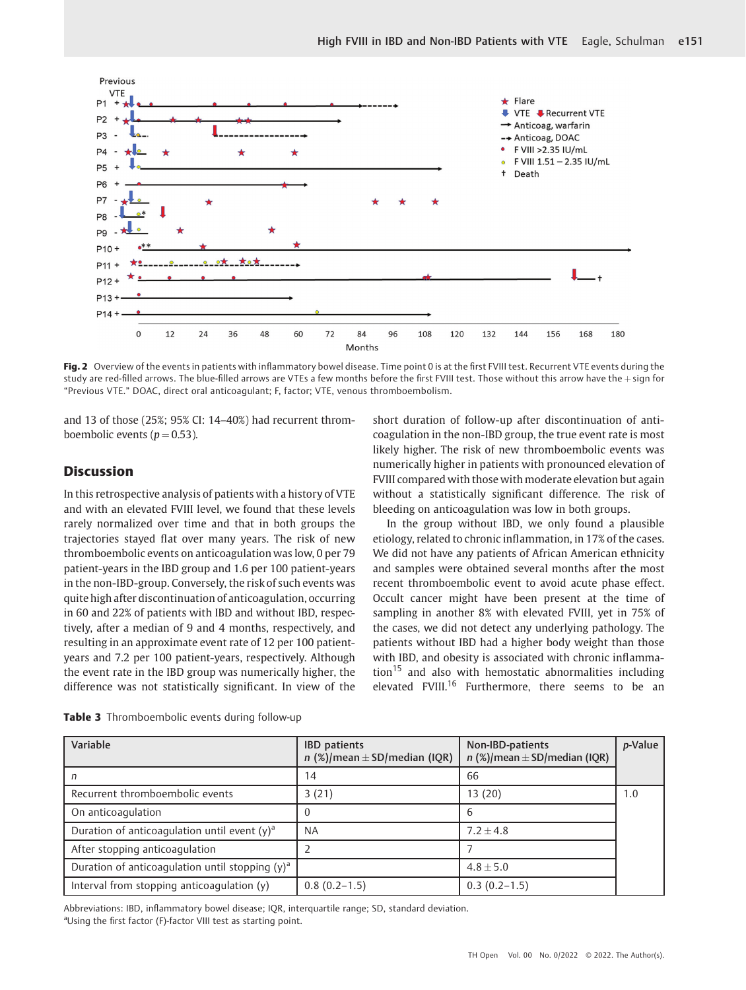

Fig. 2 Overview of the events in patients with inflammatory bowel disease. Time point 0 is at the first FVIII test. Recurrent VTE events during the study are red-filled arrows. The blue-filled arrows are VTEs a few months before the first FVIII test. Those without this arrow have the + sign for "Previous VTE." DOAC, direct oral anticoagulant; F, factor; VTE, venous thromboembolism.

and 13 of those (25%; 95% CI: 14–40%) had recurrent thromboembolic events ( $p = 0.53$ ).

# **Discussion**

In this retrospective analysis of patients with a history of VTE and with an elevated FVIII level, we found that these levels rarely normalized over time and that in both groups the trajectories stayed flat over many years. The risk of new thromboembolic events on anticoagulation was low, 0 per 79 patient-years in the IBD group and 1.6 per 100 patient-years in the non-IBD-group. Conversely, the risk of such events was quite high after discontinuation of anticoagulation, occurring in 60 and 22% of patients with IBD and without IBD, respectively, after a median of 9 and 4 months, respectively, and resulting in an approximate event rate of 12 per 100 patientyears and 7.2 per 100 patient-years, respectively. Although the event rate in the IBD group was numerically higher, the difference was not statistically significant. In view of the short duration of follow-up after discontinuation of anticoagulation in the non-IBD group, the true event rate is most likely higher. The risk of new thromboembolic events was numerically higher in patients with pronounced elevation of FVIII compared with those with moderate elevation but again without a statistically significant difference. The risk of bleeding on anticoagulation was low in both groups.

In the group without IBD, we only found a plausible etiology, related to chronic inflammation, in 17% of the cases. We did not have any patients of African American ethnicity and samples were obtained several months after the most recent thromboembolic event to avoid acute phase effect. Occult cancer might have been present at the time of sampling in another 8% with elevated FVIII, yet in 75% of the cases, we did not detect any underlying pathology. The patients without IBD had a higher body weight than those with IBD, and obesity is associated with chronic inflamma- $\mu$ <sub>15</sub> and also with hemostatic abnormalities including elevated FVIII.<sup>16</sup> Furthermore, there seems to be an

| Variable                                           | <b>IBD</b> patients<br>$n$ (%)/mean $\pm$ SD/median (IQR) | Non-IBD-patients<br>$n$ (%)/mean $\pm$ SD/median (IQR) | p-Value |
|----------------------------------------------------|-----------------------------------------------------------|--------------------------------------------------------|---------|
|                                                    | 14                                                        | 66                                                     |         |
| Recurrent thromboembolic events                    | 3(21)                                                     | 13 (20)                                                | 1.0     |
| On anticoagulation                                 |                                                           | 6                                                      |         |
| Duration of anticoagulation until event $(y)^a$    | NA                                                        | $7.2 + 4.8$                                            |         |
| After stopping anticoagulation                     |                                                           |                                                        |         |
| Duration of anticoagulation until stopping $(y)^a$ |                                                           | $4.8 \pm 5.0$                                          |         |
| Interval from stopping anticoagulation (y)         | $0.8(0.2-1.5)$                                            | $0.3(0.2-1.5)$                                         |         |

Table 3 Thromboembolic events during follow-up

Abbreviations: IBD, inflammatory bowel disease; IQR, interquartile range; SD, standard deviation. aUsing the first factor (F)-factor VIII test as starting point.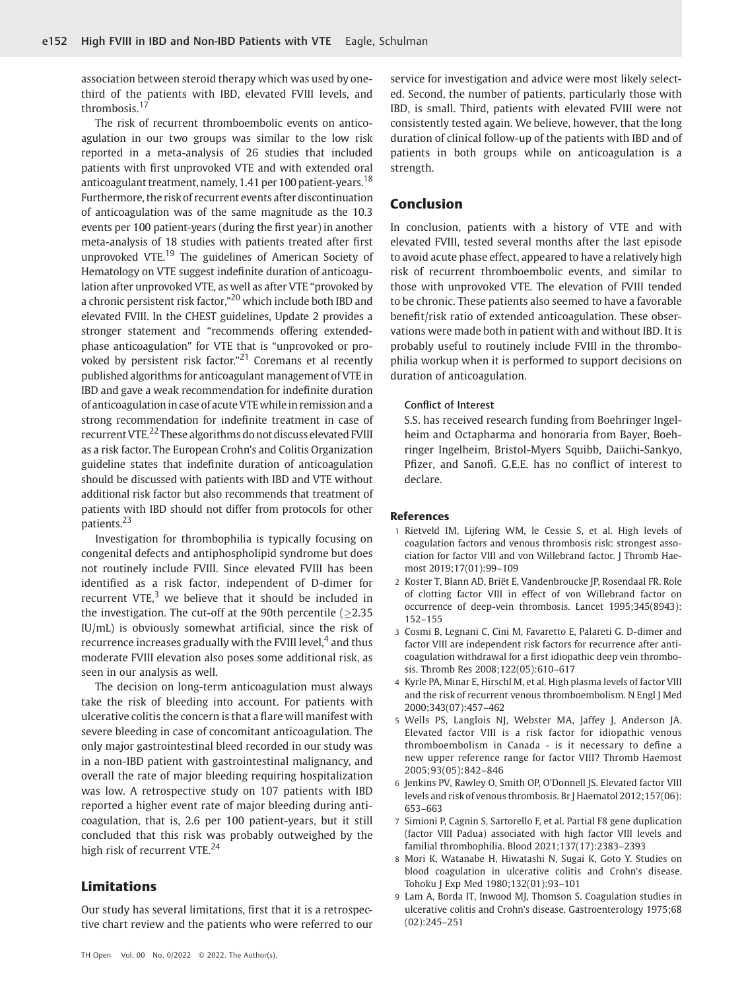association between steroid therapy which was used by onethird of the patients with IBD, elevated FVIII levels, and thrombosis.<sup>17</sup>

The risk of recurrent thromboembolic events on anticoagulation in our two groups was similar to the low risk reported in a meta-analysis of 26 studies that included patients with first unprovoked VTE and with extended oral anticoagulant treatment, namely, 1.41 per 100 patient-years.<sup>18</sup> Furthermore, the risk of recurrent events after discontinuation of anticoagulation was of the same magnitude as the 10.3 events per 100 patient-years (during the first year) in another meta-analysis of 18 studies with patients treated after first unprovoked VTE.<sup>19</sup> The guidelines of American Society of Hematology on VTE suggest indefinite duration of anticoagulation after unprovoked VTE, as well as after VTE "provoked by a chronic persistent risk factor,"<sup>20</sup> which include both IBD and elevated FVIII. In the CHEST guidelines, Update 2 provides a stronger statement and "recommends offering extendedphase anticoagulation" for VTE that is "unprovoked or provoked by persistent risk factor."<sup>21</sup> Coremans et al recently published algorithms for anticoagulant management of VTE in IBD and gave a weak recommendation for indefinite duration of anticoagulation in case of acute VTE while in remission and a strong recommendation for indefinite treatment in case of recurrent VTE.<sup>22</sup> These algorithms do not discuss elevated FVIII as a risk factor. The European Crohn's and Colitis Organization guideline states that indefinite duration of anticoagulation should be discussed with patients with IBD and VTE without additional risk factor but also recommends that treatment of patients with IBD should not differ from protocols for other patients.<sup>23</sup>

Investigation for thrombophilia is typically focusing on congenital defects and antiphospholipid syndrome but does not routinely include FVIII. Since elevated FVIII has been identified as a risk factor, independent of D-dimer for recurrent VTE, $3$  we believe that it should be included in the investigation. The cut-off at the 90th percentile  $(>2.35$ IU/mL) is obviously somewhat artificial, since the risk of recurrence increases gradually with the FVIII level,<sup>4</sup> and thus moderate FVIII elevation also poses some additional risk, as seen in our analysis as well.

The decision on long-term anticoagulation must always take the risk of bleeding into account. For patients with ulcerative colitis the concern is that a flare will manifest with severe bleeding in case of concomitant anticoagulation. The only major gastrointestinal bleed recorded in our study was in a non-IBD patient with gastrointestinal malignancy, and overall the rate of major bleeding requiring hospitalization was low. A retrospective study on 107 patients with IBD reported a higher event rate of major bleeding during anticoagulation, that is, 2.6 per 100 patient-years, but it still concluded that this risk was probably outweighed by the high risk of recurrent VTE.<sup>24</sup>

# Limitations

Our study has several limitations, first that it is a retrospective chart review and the patients who were referred to our service for investigation and advice were most likely selected. Second, the number of patients, particularly those with IBD, is small. Third, patients with elevated FVIII were not consistently tested again. We believe, however, that the long duration of clinical follow-up of the patients with IBD and of patients in both groups while on anticoagulation is a strength.

# Conclusion

In conclusion, patients with a history of VTE and with elevated FVIII, tested several months after the last episode to avoid acute phase effect, appeared to have a relatively high risk of recurrent thromboembolic events, and similar to those with unprovoked VTE. The elevation of FVIII tended to be chronic. These patients also seemed to have a favorable benefit/risk ratio of extended anticoagulation. These observations were made both in patient with and without IBD. It is probably useful to routinely include FVIII in the thrombophilia workup when it is performed to support decisions on duration of anticoagulation.

#### Conflict of Interest

S.S. has received research funding from Boehringer Ingelheim and Octapharma and honoraria from Bayer, Boehringer Ingelheim, Bristol-Myers Squibb, Daiichi-Sankyo, Pfizer, and Sanofi. G.E.E. has no conflict of interest to declare.

#### References

- 1 Rietveld IM, Lijfering WM, le Cessie S, et al. High levels of coagulation factors and venous thrombosis risk: strongest association for factor VIII and von Willebrand factor. J Thromb Haemost 2019;17(01):99–109
- 2 Koster T, Blann AD, Briët E, Vandenbroucke JP, Rosendaal FR. Role of clotting factor VIII in effect of von Willebrand factor on occurrence of deep-vein thrombosis. Lancet 1995;345(8943): 152–155
- 3 Cosmi B, Legnani C, Cini M, Favaretto E, Palareti G. D-dimer and factor VIII are independent risk factors for recurrence after anticoagulation withdrawal for a first idiopathic deep vein thrombosis. Thromb Res 2008;122(05):610–617
- 4 Kyrle PA, Minar E, Hirschl M, et al. High plasma levels of factor VIII and the risk of recurrent venous thromboembolism. N Engl J Med 2000;343(07):457–462
- 5 Wells PS, Langlois NJ, Webster MA, Jaffey J, Anderson JA. Elevated factor VIII is a risk factor for idiopathic venous thromboembolism in Canada - is it necessary to define a new upper reference range for factor VIII? Thromb Haemost 2005;93(05):842–846
- 6 Jenkins PV, Rawley O, Smith OP, O'Donnell JS. Elevated factor VIII levels and risk of venous thrombosis. Br J Haematol 2012;157(06): 653–663
- 7 Simioni P, Cagnin S, Sartorello F, et al. Partial F8 gene duplication (factor VIII Padua) associated with high factor VIII levels and familial thrombophilia. Blood 2021;137(17):2383–2393
- 8 Mori K, Watanabe H, Hiwatashi N, Sugai K, Goto Y. Studies on blood coagulation in ulcerative colitis and Crohn's disease. Tohoku J Exp Med 1980;132(01):93–101
- 9 Lam A, Borda IT, Inwood MJ, Thomson S. Coagulation studies in ulcerative colitis and Crohn's disease. Gastroenterology 1975;68 (02):245–251